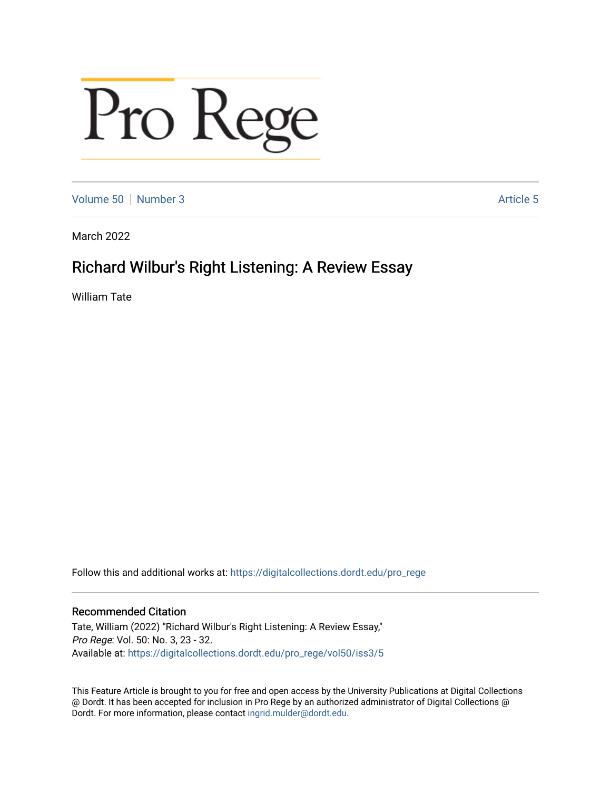# Pro Rege

[Volume 50](https://digitalcollections.dordt.edu/pro_rege/vol50) [Number 3](https://digitalcollections.dordt.edu/pro_rege/vol50/iss3) Article 5

March 2022

# Richard Wilbur's Right Listening: A Review Essay

William Tate

Follow this and additional works at: [https://digitalcollections.dordt.edu/pro\\_rege](https://digitalcollections.dordt.edu/pro_rege?utm_source=digitalcollections.dordt.edu%2Fpro_rege%2Fvol50%2Fiss3%2F5&utm_medium=PDF&utm_campaign=PDFCoverPages) 

# Recommended Citation

Tate, William (2022) "Richard Wilbur's Right Listening: A Review Essay," Pro Rege: Vol. 50: No. 3, 23 - 32. Available at: [https://digitalcollections.dordt.edu/pro\\_rege/vol50/iss3/5](https://digitalcollections.dordt.edu/pro_rege/vol50/iss3/5?utm_source=digitalcollections.dordt.edu%2Fpro_rege%2Fvol50%2Fiss3%2F5&utm_medium=PDF&utm_campaign=PDFCoverPages) 

This Feature Article is brought to you for free and open access by the University Publications at Digital Collections @ Dordt. It has been accepted for inclusion in Pro Rege by an authorized administrator of Digital Collections @ Dordt. For more information, please contact [ingrid.mulder@dordt.edu.](mailto:ingrid.mulder@dordt.edu)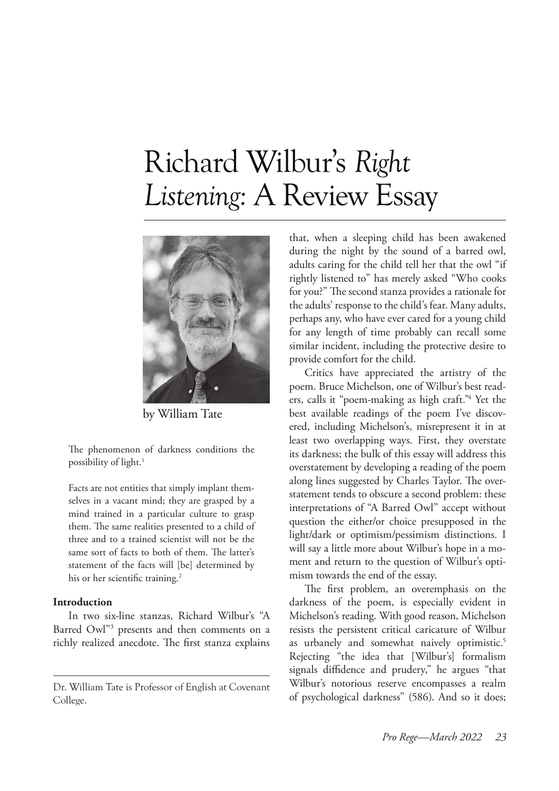# Richard Wilbur's *Right Listening:* A Review Essay



by William Tate

The phenomenon of darkness conditions the possibility of light.<sup>1</sup>

Facts are not entities that simply implant themselves in a vacant mind; they are grasped by a mind trained in a particular culture to grasp them. The same realities presented to a child of three and to a trained scientist will not be the same sort of facts to both of them. The latter's statement of the facts will [be] determined by his or her scientific training.<sup>2</sup>

## **Introduction**

In two six-line stanzas, Richard Wilbur's "A Barred Owl"3 presents and then comments on a richly realized anecdote. The first stanza explains

that, when a sleeping child has been awakened during the night by the sound of a barred owl, adults caring for the child tell her that the owl "if rightly listened to" has merely asked "Who cooks for you?" The second stanza provides a rationale for the adults' response to the child's fear. Many adults, perhaps any, who have ever cared for a young child for any length of time probably can recall some similar incident, including the protective desire to provide comfort for the child.

Critics have appreciated the artistry of the poem. Bruce Michelson, one of Wilbur's best readers, calls it "poem-making as high craft."4 Yet the best available readings of the poem I've discovered, including Michelson's, misrepresent it in at least two overlapping ways. First, they overstate its darkness; the bulk of this essay will address this overstatement by developing a reading of the poem along lines suggested by Charles Taylor. The overstatement tends to obscure a second problem: these interpretations of "A Barred Owl" accept without question the either/or choice presupposed in the light/dark or optimism/pessimism distinctions. I will say a little more about Wilbur's hope in a moment and return to the question of Wilbur's optimism towards the end of the essay.

The first problem, an overemphasis on the darkness of the poem, is especially evident in Michelson's reading. With good reason, Michelson resists the persistent critical caricature of Wilbur as urbanely and somewhat naively optimistic.<sup>5</sup> Rejecting "the idea that [Wilbur's] formalism signals diffidence and prudery," he argues "that Wilbur's notorious reserve encompasses a realm of psychological darkness" (586). And so it does;

Dr. William Tate is Professor of English at Covenant College.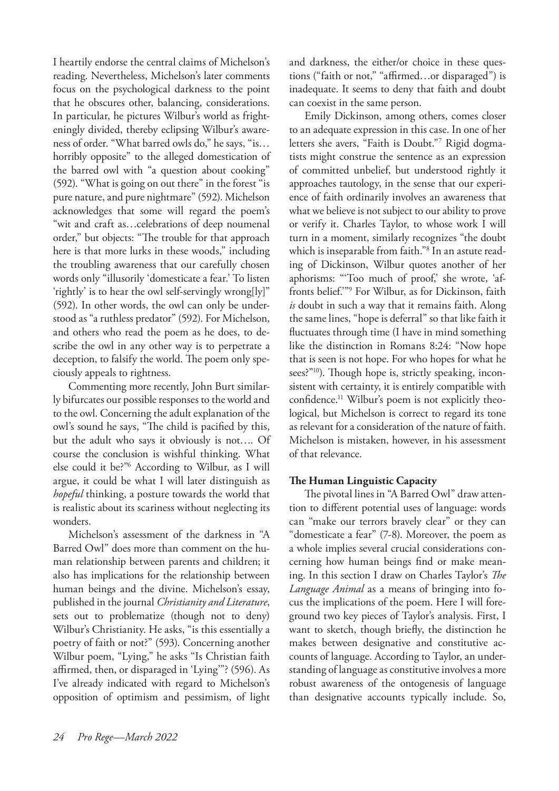I heartily endorse the central claims of Michelson's reading. Nevertheless, Michelson's later comments focus on the psychological darkness to the point that he obscures other, balancing, considerations. In particular, he pictures Wilbur's world as frighteningly divided, thereby eclipsing Wilbur's awareness of order. "What barred owls do," he says, "is… horribly opposite" to the alleged domestication of the barred owl with "a question about cooking" (592). "What is going on out there" in the forest "is pure nature, and pure nightmare" (592). Michelson acknowledges that some will regard the poem's "wit and craft as…celebrations of deep noumenal order," but objects: "The trouble for that approach here is that more lurks in these woods," including the troubling awareness that our carefully chosen words only "illusorily 'domesticate a fear.' To listen 'rightly' is to hear the owl self-servingly wrong[ly]" (592). In other words, the owl can only be understood as "a ruthless predator" (592). For Michelson, and others who read the poem as he does, to describe the owl in any other way is to perpetrate a deception, to falsify the world. The poem only speciously appeals to rightness.

Commenting more recently, John Burt similarly bifurcates our possible responses to the world and to the owl. Concerning the adult explanation of the owl's sound he says, "The child is pacified by this, but the adult who says it obviously is not…. Of course the conclusion is wishful thinking. What else could it be?"6 According to Wilbur, as I will argue, it could be what I will later distinguish as *hopeful* thinking, a posture towards the world that is realistic about its scariness without neglecting its wonders.

Michelson's assessment of the darkness in "A Barred Owl" does more than comment on the human relationship between parents and children; it also has implications for the relationship between human beings and the divine. Michelson's essay, published in the journal *Christianity and Literature*, sets out to problematize (though not to deny) Wilbur's Christianity. He asks, "is this essentially a poetry of faith or not?" (593). Concerning another Wilbur poem, "Lying," he asks "Is Christian faith affirmed, then, or disparaged in 'Lying'"? (596). As I've already indicated with regard to Michelson's opposition of optimism and pessimism, of light and darkness, the either/or choice in these questions ("faith or not," "affirmed…or disparaged") is inadequate. It seems to deny that faith and doubt can coexist in the same person.

Emily Dickinson, among others, comes closer to an adequate expression in this case. In one of her letters she avers, "Faith is Doubt."7 Rigid dogmatists might construe the sentence as an expression of committed unbelief, but understood rightly it approaches tautology, in the sense that our experience of faith ordinarily involves an awareness that what we believe is not subject to our ability to prove or verify it. Charles Taylor, to whose work I will turn in a moment, similarly recognizes "the doubt which is inseparable from faith."8 In an astute reading of Dickinson, Wilbur quotes another of her aphorisms: "'Too much of proof,' she wrote, 'affronts belief.'"9 For Wilbur, as for Dickinson, faith *is* doubt in such a way that it remains faith. Along the same lines, "hope is deferral" so that like faith it fluctuates through time (I have in mind something like the distinction in Romans 8:24: "Now hope that is seen is not hope. For who hopes for what he sees?"<sup>10</sup>). Though hope is, strictly speaking, inconsistent with certainty, it is entirely compatible with confidence.11 Wilbur's poem is not explicitly theological, but Michelson is correct to regard its tone as relevant for a consideration of the nature of faith. Michelson is mistaken, however, in his assessment of that relevance.

### **The Human Linguistic Capacity**

The pivotal lines in "A Barred Owl" draw attention to different potential uses of language: words can "make our terrors bravely clear" or they can "domesticate a fear" (7-8). Moreover, the poem as a whole implies several crucial considerations concerning how human beings find or make meaning. In this section I draw on Charles Taylor's *The Language Animal* as a means of bringing into focus the implications of the poem. Here I will foreground two key pieces of Taylor's analysis. First, I want to sketch, though briefly, the distinction he makes between designative and constitutive accounts of language. According to Taylor, an understanding of language as constitutive involves a more robust awareness of the ontogenesis of language than designative accounts typically include. So,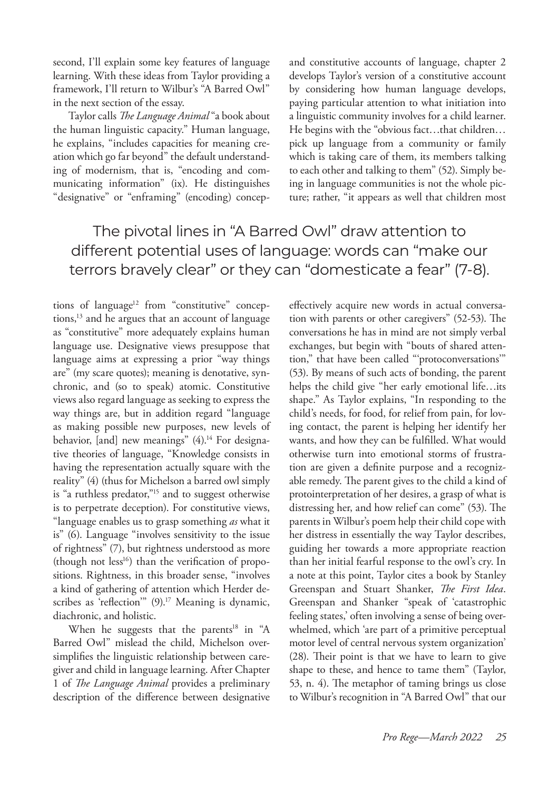second, I'll explain some key features of language learning. With these ideas from Taylor providing a framework, I'll return to Wilbur's "A Barred Owl" in the next section of the essay.

Taylor calls *The Language Animal* "a book about the human linguistic capacity." Human language, he explains, "includes capacities for meaning creation which go far beyond" the default understanding of modernism, that is, "encoding and communicating information" (ix). He distinguishes "designative" or "enframing" (encoding) concepand constitutive accounts of language, chapter 2 develops Taylor's version of a constitutive account by considering how human language develops, paying particular attention to what initiation into a linguistic community involves for a child learner. He begins with the "obvious fact…that children… pick up language from a community or family which is taking care of them, its members talking to each other and talking to them" (52). Simply being in language communities is not the whole picture; rather, "it appears as well that children most

# The pivotal lines in "A Barred Owl" draw attention to different potential uses of language: words can "make our terrors bravely clear" or they can "domesticate a fear" (7-8).

tions of language<sup>12</sup> from "constitutive" conceptions,<sup>13</sup> and he argues that an account of language as "constitutive" more adequately explains human language use. Designative views presuppose that language aims at expressing a prior "way things are" (my scare quotes); meaning is denotative, synchronic, and (so to speak) atomic. Constitutive views also regard language as seeking to express the way things are, but in addition regard "language as making possible new purposes, new levels of behavior, [and] new meanings" (4).<sup>14</sup> For designative theories of language, "Knowledge consists in having the representation actually square with the reality" (4) (thus for Michelson a barred owl simply is "a ruthless predator,"<sup>15</sup> and to suggest otherwise is to perpetrate deception). For constitutive views, "language enables us to grasp something *as* what it is" (6). Language "involves sensitivity to the issue of rightness" (7), but rightness understood as more  $(t$ hough not less<sup>16</sup>) than the verification of propositions. Rightness, in this broader sense, "involves a kind of gathering of attention which Herder describes as 'reflection'" (9).<sup>17</sup> Meaning is dynamic, diachronic, and holistic.

When he suggests that the parents<sup>18</sup> in "A Barred Owl" mislead the child, Michelson oversimplifies the linguistic relationship between caregiver and child in language learning. After Chapter 1 of *The Language Animal* provides a preliminary description of the difference between designative

effectively acquire new words in actual conversation with parents or other caregivers" (52-53). The conversations he has in mind are not simply verbal exchanges, but begin with "bouts of shared attention," that have been called "'protoconversations'" (53). By means of such acts of bonding, the parent helps the child give "her early emotional life…its shape." As Taylor explains, "In responding to the child's needs, for food, for relief from pain, for loving contact, the parent is helping her identify her wants, and how they can be fulfilled. What would otherwise turn into emotional storms of frustration are given a definite purpose and a recognizable remedy. The parent gives to the child a kind of protointerpretation of her desires, a grasp of what is distressing her, and how relief can come" (53). The parents in Wilbur's poem help their child cope with her distress in essentially the way Taylor describes, guiding her towards a more appropriate reaction than her initial fearful response to the owl's cry. In a note at this point, Taylor cites a book by Stanley Greenspan and Stuart Shanker, *The First Idea*. Greenspan and Shanker "speak of 'catastrophic feeling states,' often involving a sense of being overwhelmed, which 'are part of a primitive perceptual motor level of central nervous system organization' (28). Their point is that we have to learn to give shape to these, and hence to tame them" (Taylor, 53, n. 4). The metaphor of taming brings us close to Wilbur's recognition in "A Barred Owl" that our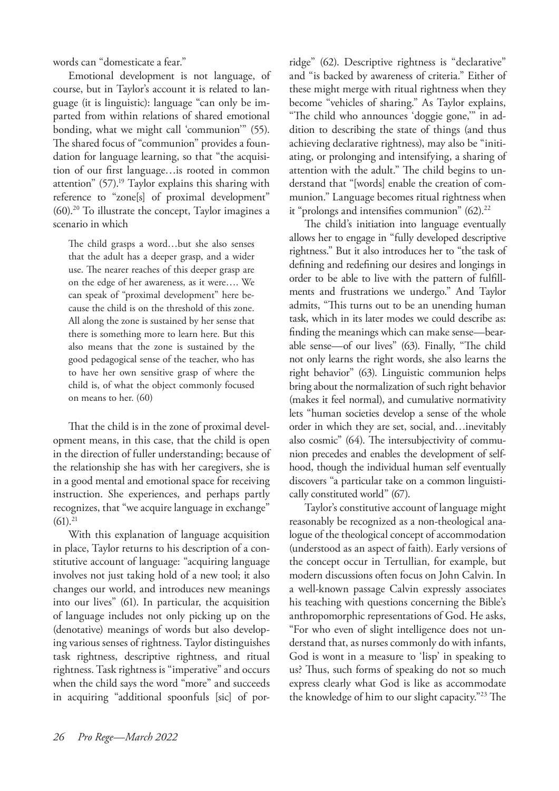words can "domesticate a fear."

Emotional development is not language, of course, but in Taylor's account it is related to language (it is linguistic): language "can only be imparted from within relations of shared emotional bonding, what we might call 'communion'" (55). The shared focus of "communion" provides a foundation for language learning, so that "the acquisition of our first language…is rooted in common attention" (57).<sup>19</sup> Taylor explains this sharing with reference to "zone[s] of proximal development"  $(60).<sup>20</sup>$  To illustrate the concept, Taylor imagines a scenario in which

The child grasps a word…but she also senses that the adult has a deeper grasp, and a wider use. The nearer reaches of this deeper grasp are on the edge of her awareness, as it were…. We can speak of "proximal development" here because the child is on the threshold of this zone. All along the zone is sustained by her sense that there is something more to learn here. But this also means that the zone is sustained by the good pedagogical sense of the teacher, who has to have her own sensitive grasp of where the child is, of what the object commonly focused on means to her. (60)

That the child is in the zone of proximal development means, in this case, that the child is open in the direction of fuller understanding; because of the relationship she has with her caregivers, she is in a good mental and emotional space for receiving instruction. She experiences, and perhaps partly recognizes, that "we acquire language in exchange"  $(61).^{21}$ 

With this explanation of language acquisition in place, Taylor returns to his description of a constitutive account of language: "acquiring language involves not just taking hold of a new tool; it also changes our world, and introduces new meanings into our lives" (61). In particular, the acquisition of language includes not only picking up on the (denotative) meanings of words but also developing various senses of rightness. Taylor distinguishes task rightness, descriptive rightness, and ritual rightness. Task rightness is "imperative" and occurs when the child says the word "more" and succeeds in acquiring "additional spoonfuls [sic] of por-

ridge" (62). Descriptive rightness is "declarative" and "is backed by awareness of criteria." Either of these might merge with ritual rightness when they become "vehicles of sharing." As Taylor explains, "The child who announces 'doggie gone,'" in addition to describing the state of things (and thus achieving declarative rightness), may also be "initiating, or prolonging and intensifying, a sharing of attention with the adult." The child begins to understand that "[words] enable the creation of communion." Language becomes ritual rightness when it "prolongs and intensifies communion"  $(62).^{22}$ 

The child's initiation into language eventually allows her to engage in "fully developed descriptive rightness." But it also introduces her to "the task of defining and redefining our desires and longings in order to be able to live with the pattern of fulfillments and frustrations we undergo." And Taylor admits, "This turns out to be an unending human task, which in its later modes we could describe as: finding the meanings which can make sense—bearable sense—of our lives" (63). Finally, "The child not only learns the right words, she also learns the right behavior" (63). Linguistic communion helps bring about the normalization of such right behavior (makes it feel normal), and cumulative normativity lets "human societies develop a sense of the whole order in which they are set, social, and…inevitably also cosmic" (64). The intersubjectivity of communion precedes and enables the development of selfhood, though the individual human self eventually discovers "a particular take on a common linguistically constituted world" (67).

Taylor's constitutive account of language might reasonably be recognized as a non-theological analogue of the theological concept of accommodation (understood as an aspect of faith). Early versions of the concept occur in Tertullian, for example, but modern discussions often focus on John Calvin. In a well-known passage Calvin expressly associates his teaching with questions concerning the Bible's anthropomorphic representations of God. He asks, "For who even of slight intelligence does not understand that, as nurses commonly do with infants, God is wont in a measure to 'lisp' in speaking to us? Thus, such forms of speaking do not so much express clearly what God is like as accommodate the knowledge of him to our slight capacity."23 The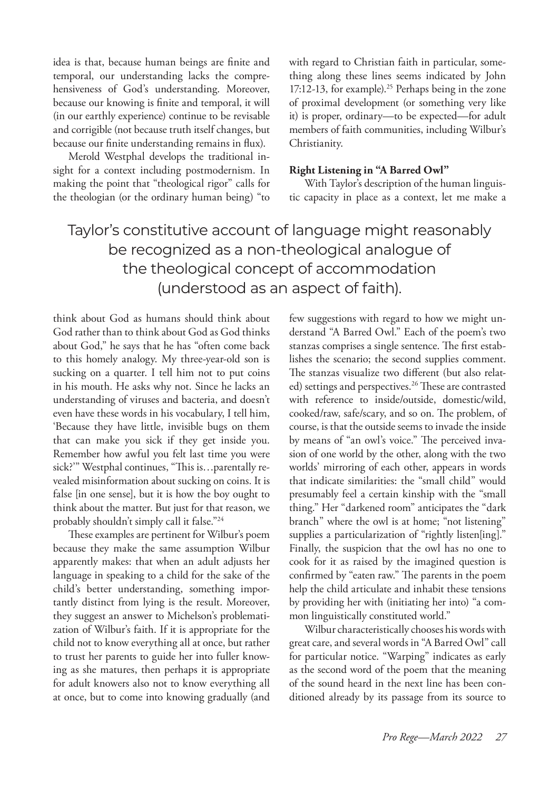idea is that, because human beings are finite and temporal, our understanding lacks the comprehensiveness of God's understanding. Moreover, because our knowing is finite and temporal, it will (in our earthly experience) continue to be revisable and corrigible (not because truth itself changes, but because our finite understanding remains in flux).

Merold Westphal develops the traditional insight for a context including postmodernism. In making the point that "theological rigor" calls for the theologian (or the ordinary human being) "to with regard to Christian faith in particular, something along these lines seems indicated by John 17:12-13, for example).<sup>25</sup> Perhaps being in the zone of proximal development (or something very like it) is proper, ordinary—to be expected—for adult members of faith communities, including Wilbur's Christianity.

## **Right Listening in "A Barred Owl"**

With Taylor's description of the human linguistic capacity in place as a context, let me make a

# Taylor's constitutive account of language might reasonably be recognized as a non-theological analogue of the theological concept of accommodation (understood as an aspect of faith).

think about God as humans should think about God rather than to think about God as God thinks about God," he says that he has "often come back to this homely analogy. My three-year-old son is sucking on a quarter. I tell him not to put coins in his mouth. He asks why not. Since he lacks an understanding of viruses and bacteria, and doesn't even have these words in his vocabulary, I tell him, 'Because they have little, invisible bugs on them that can make you sick if they get inside you. Remember how awful you felt last time you were sick?" Westphal continues, "This is...parentally revealed misinformation about sucking on coins. It is false [in one sense], but it is how the boy ought to think about the matter. But just for that reason, we probably shouldn't simply call it false."24

These examples are pertinent for Wilbur's poem because they make the same assumption Wilbur apparently makes: that when an adult adjusts her language in speaking to a child for the sake of the child's better understanding, something importantly distinct from lying is the result. Moreover, they suggest an answer to Michelson's problematization of Wilbur's faith. If it is appropriate for the child not to know everything all at once, but rather to trust her parents to guide her into fuller knowing as she matures, then perhaps it is appropriate for adult knowers also not to know everything all at once, but to come into knowing gradually (and

few suggestions with regard to how we might understand "A Barred Owl." Each of the poem's two stanzas comprises a single sentence. The first establishes the scenario; the second supplies comment. The stanzas visualize two different (but also related) settings and perspectives.<sup>26</sup> These are contrasted with reference to inside/outside, domestic/wild, cooked/raw, safe/scary, and so on. The problem, of course, is that the outside seems to invade the inside by means of "an owl's voice." The perceived invasion of one world by the other, along with the two worlds' mirroring of each other, appears in words that indicate similarities: the "small child" would presumably feel a certain kinship with the "small thing." Her "darkened room" anticipates the "dark branch" where the owl is at home; "not listening" supplies a particularization of "rightly listen[ing]." Finally, the suspicion that the owl has no one to cook for it as raised by the imagined question is confirmed by "eaten raw." The parents in the poem help the child articulate and inhabit these tensions by providing her with (initiating her into) "a common linguistically constituted world."

Wilbur characteristically chooses his words with great care, and several words in "A Barred Owl" call for particular notice. "Warping" indicates as early as the second word of the poem that the meaning of the sound heard in the next line has been conditioned already by its passage from its source to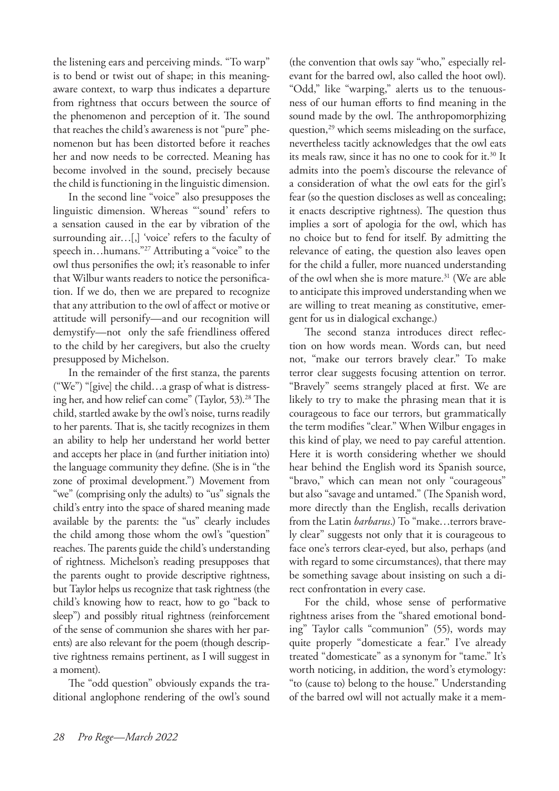the listening ears and perceiving minds. "To warp" is to bend or twist out of shape; in this meaningaware context, to warp thus indicates a departure from rightness that occurs between the source of the phenomenon and perception of it. The sound that reaches the child's awareness is not "pure" phenomenon but has been distorted before it reaches her and now needs to be corrected. Meaning has become involved in the sound, precisely because the child is functioning in the linguistic dimension.

In the second line "voice" also presupposes the linguistic dimension. Whereas "'sound' refers to a sensation caused in the ear by vibration of the surrounding air…[,] 'voice' refers to the faculty of speech in...humans."<sup>27</sup> Attributing a "voice" to the owl thus personifies the owl; it's reasonable to infer that Wilbur wants readers to notice the personification. If we do, then we are prepared to recognize that any attribution to the owl of affect or motive or attitude will personify—and our recognition will demystify—not only the safe friendliness offered to the child by her caregivers, but also the cruelty presupposed by Michelson.

In the remainder of the first stanza, the parents ("We") "[give] the child…a grasp of what is distressing her, and how relief can come" (Taylor, 53).28 The child, startled awake by the owl's noise, turns readily to her parents. That is, she tacitly recognizes in them an ability to help her understand her world better and accepts her place in (and further initiation into) the language community they define. (She is in "the zone of proximal development.") Movement from "we" (comprising only the adults) to "us" signals the child's entry into the space of shared meaning made available by the parents: the "us" clearly includes the child among those whom the owl's "question" reaches. The parents guide the child's understanding of rightness. Michelson's reading presupposes that the parents ought to provide descriptive rightness, but Taylor helps us recognize that task rightness (the child's knowing how to react, how to go "back to sleep") and possibly ritual rightness (reinforcement of the sense of communion she shares with her parents) are also relevant for the poem (though descriptive rightness remains pertinent, as I will suggest in a moment).

The "odd question" obviously expands the traditional anglophone rendering of the owl's sound (the convention that owls say "who," especially relevant for the barred owl, also called the hoot owl). "Odd," like "warping," alerts us to the tenuousness of our human efforts to find meaning in the sound made by the owl. The anthropomorphizing question,<sup>29</sup> which seems misleading on the surface, nevertheless tacitly acknowledges that the owl eats its meals raw, since it has no one to cook for it.30 It admits into the poem's discourse the relevance of a consideration of what the owl eats for the girl's fear (so the question discloses as well as concealing; it enacts descriptive rightness). The question thus implies a sort of apologia for the owl, which has no choice but to fend for itself. By admitting the relevance of eating, the question also leaves open for the child a fuller, more nuanced understanding of the owl when she is more mature.<sup>31</sup> (We are able to anticipate this improved understanding when we are willing to treat meaning as constitutive, emergent for us in dialogical exchange.)

The second stanza introduces direct reflection on how words mean. Words can, but need not, "make our terrors bravely clear." To make terror clear suggests focusing attention on terror. "Bravely" seems strangely placed at first. We are likely to try to make the phrasing mean that it is courageous to face our terrors, but grammatically the term modifies "clear." When Wilbur engages in this kind of play, we need to pay careful attention. Here it is worth considering whether we should hear behind the English word its Spanish source, "bravo," which can mean not only "courageous" but also "savage and untamed." (The Spanish word, more directly than the English, recalls derivation from the Latin *barbarus*.) To "make…terrors bravely clear" suggests not only that it is courageous to face one's terrors clear-eyed, but also, perhaps (and with regard to some circumstances), that there may be something savage about insisting on such a direct confrontation in every case.

For the child, whose sense of performative rightness arises from the "shared emotional bonding" Taylor calls "communion" (55), words may quite properly "domesticate a fear." I've already treated "domesticate" as a synonym for "tame." It's worth noticing, in addition, the word's etymology: "to (cause to) belong to the house." Understanding of the barred owl will not actually make it a mem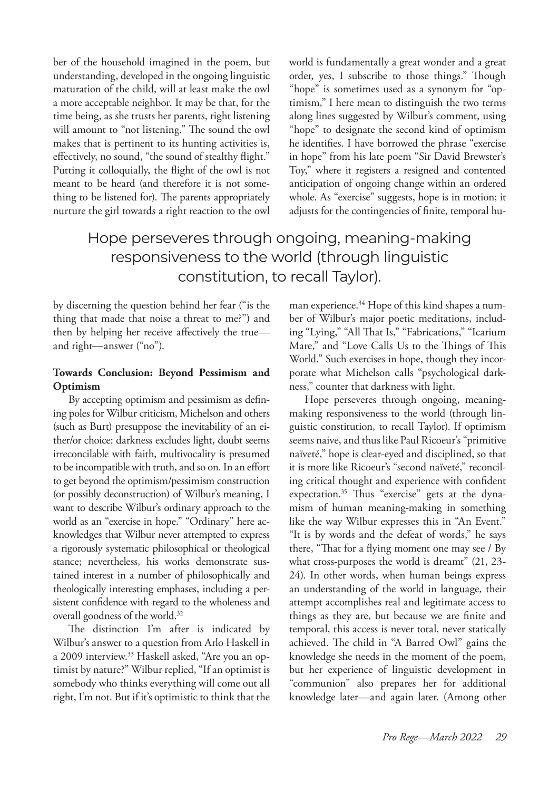ber of the household imagined in the poem, but understanding, developed in the ongoing linguistic maturation of the child, will at least make the owl a more acceptable neighbor. It may be that, for the time being, as she trusts her parents, right listening will amount to "not listening." The sound the owl makes that is pertinent to its hunting activities is, effectively, no sound, "the sound of stealthy flight." Putting it colloquially, the flight of the owl is not meant to be heard (and therefore it is not something to be listened for). The parents appropriately nurture the girl towards a right reaction to the owl world is fundamentally a great wonder and a great order, yes, I subscribe to those things." Though "hope" is sometimes used as a synonym for "optimism," I here mean to distinguish the two terms along lines suggested by Wilbur's comment, using "hope" to designate the second kind of optimism he identifies. I have borrowed the phrase "exercise in hope" from his late poem "Sir David Brewster's Toy," where it registers a resigned and contented anticipation of ongoing change within an ordered whole. As "exercise" suggests, hope is in motion; it adjusts for the contingencies of finite, temporal hu-

# Hope perseveres through ongoing, meaning-making responsiveness to the world (through linguistic constitution, to recall Taylor).

by discerning the question behind her fear ("is the thing that made that noise a threat to me?") and then by helping her receive affectively the true and right—answer ("no").

## **Towards Conclusion: Beyond Pessimism and Optimism**

By accepting optimism and pessimism as defining poles for Wilbur criticism, Michelson and others (such as Burt) presuppose the inevitability of an either/or choice: darkness excludes light, doubt seems irreconcilable with faith, multivocality is presumed to be incompatible with truth, and so on. In an effort to get beyond the optimism/pessimism construction (or possibly deconstruction) of Wilbur's meaning, I want to describe Wilbur's ordinary approach to the world as an "exercise in hope." "Ordinary" here acknowledges that Wilbur never attempted to express a rigorously systematic philosophical or theological stance; nevertheless, his works demonstrate sustained interest in a number of philosophically and theologically interesting emphases, including a persistent confidence with regard to the wholeness and overall goodness of the world.<sup>32</sup>

The distinction I'm after is indicated by Wilbur's answer to a question from Arlo Haskell in a 2009 interview.<sup>33</sup> Haskell asked, "Are you an optimist by nature?" Wilbur replied, "If an optimist is somebody who thinks everything will come out all right, I'm not. But if it's optimistic to think that the

man experience.<sup>34</sup> Hope of this kind shapes a number of Wilbur's major poetic meditations, including "Lying," "All That Is," "Fabrications," "Icarium Mare," and "Love Calls Us to the Things of This World." Such exercises in hope, though they incorporate what Michelson calls "psychological darkness," counter that darkness with light.

Hope perseveres through ongoing, meaningmaking responsiveness to the world (through linguistic constitution, to recall Taylor). If optimism seems naive, and thus like Paul Ricoeur's "primitive naïveté," hope is clear-eyed and disciplined, so that it is more like Ricoeur's "second naïveté," reconciling critical thought and experience with confident expectation.35 Thus "exercise" gets at the dynamism of human meaning-making in something like the way Wilbur expresses this in "An Event." "It is by words and the defeat of words," he says there, "That for a flying moment one may see / By what cross-purposes the world is dreamt" (21, 23- 24). In other words, when human beings express an understanding of the world in language, their attempt accomplishes real and legitimate access to things as they are, but because we are finite and temporal, this access is never total, never statically achieved. The child in "A Barred Owl" gains the knowledge she needs in the moment of the poem, but her experience of linguistic development in "communion" also prepares her for additional knowledge later—and again later. (Among other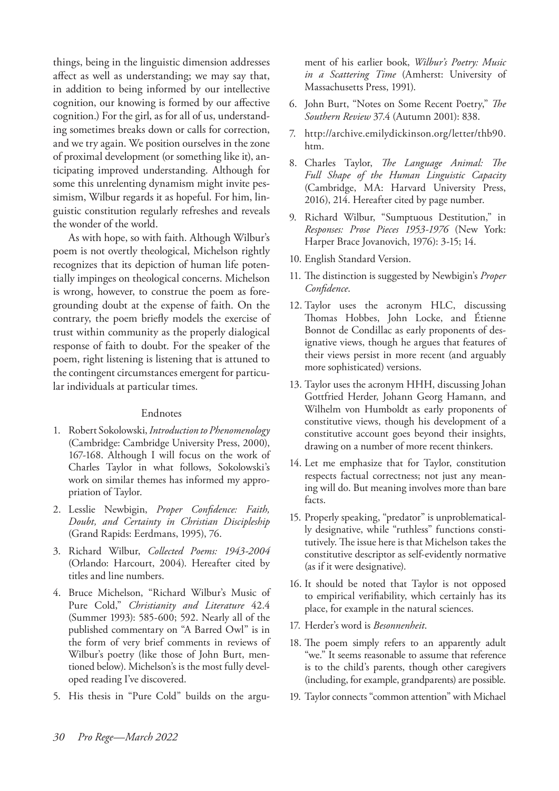things, being in the linguistic dimension addresses affect as well as understanding; we may say that, in addition to being informed by our intellective cognition, our knowing is formed by our affective cognition.) For the girl, as for all of us, understanding sometimes breaks down or calls for correction, and we try again. We position ourselves in the zone of proximal development (or something like it), anticipating improved understanding. Although for some this unrelenting dynamism might invite pessimism, Wilbur regards it as hopeful. For him, linguistic constitution regularly refreshes and reveals the wonder of the world.

As with hope, so with faith. Although Wilbur's poem is not overtly theological, Michelson rightly recognizes that its depiction of human life potentially impinges on theological concerns. Michelson is wrong, however, to construe the poem as foregrounding doubt at the expense of faith. On the contrary, the poem briefly models the exercise of trust within community as the properly dialogical response of faith to doubt. For the speaker of the poem, right listening is listening that is attuned to the contingent circumstances emergent for particular individuals at particular times.

### Endnotes

- 1. Robert Sokolowski, *Introduction to Phenomenology* (Cambridge: Cambridge University Press, 2000), 167-168. Although I will focus on the work of Charles Taylor in what follows, Sokolowski's work on similar themes has informed my appropriation of Taylor.
- 2. Lesslie Newbigin, *Proper Confidence: Faith, Doubt, and Certainty in Christian Discipleship* (Grand Rapids: Eerdmans, 1995), 76.
- 3. Richard Wilbur, *Collected Poems: 1943-2004* (Orlando: Harcourt, 2004). Hereafter cited by titles and line numbers.
- 4. Bruce Michelson, "Richard Wilbur's Music of Pure Cold," *Christianity and Literature* 42.4 (Summer 1993): 585-600; 592. Nearly all of the published commentary on "A Barred Owl" is in the form of very brief comments in reviews of Wilbur's poetry (like those of John Burt, mentioned below). Michelson's is the most fully developed reading I've discovered.
- 5. His thesis in "Pure Cold" builds on the argu-

ment of his earlier book, *Wilbur's Poetry: Music in a Scattering Time* (Amherst: University of Massachusetts Press, 1991).

- 6. John Burt, "Notes on Some Recent Poetry," *The Southern Review* 37.4 (Autumn 2001): 838.
- 7. http://archive.emilydickinson.org/letter/thb90. htm.
- 8. Charles Taylor, *The Language Animal: The Full Shape of the Human Linguistic Capacity* (Cambridge, MA: Harvard University Press, 2016), 214. Hereafter cited by page number.
- 9. Richard Wilbur, "Sumptuous Destitution," in *Responses: Prose Pieces 1953-1976* (New York: Harper Brace Jovanovich, 1976): 3-15; 14.
- 10. English Standard Version.
- 11. The distinction is suggested by Newbigin's *Proper Confidence*.
- 12. Taylor uses the acronym HLC, discussing Thomas Hobbes, John Locke, and Étienne Bonnot de Condillac as early proponents of designative views, though he argues that features of their views persist in more recent (and arguably more sophisticated) versions.
- 13. Taylor uses the acronym HHH, discussing Johan Gottfried Herder, Johann Georg Hamann, and Wilhelm von Humboldt as early proponents of constitutive views, though his development of a constitutive account goes beyond their insights, drawing on a number of more recent thinkers.
- 14. Let me emphasize that for Taylor, constitution respects factual correctness; not just any meaning will do. But meaning involves more than bare facts.
- 15. Properly speaking, "predator" is unproblematically designative, while "ruthless" functions constitutively. The issue here is that Michelson takes the constitutive descriptor as self-evidently normative (as if it were designative).
- 16. It should be noted that Taylor is not opposed to empirical verifiability, which certainly has its place, for example in the natural sciences.
- 17. Herder's word is *Besonnenheit*.
- 18. The poem simply refers to an apparently adult "we." It seems reasonable to assume that reference is to the child's parents, though other caregivers (including, for example, grandparents) are possible.
- 19. Taylor connects "common attention" with Michael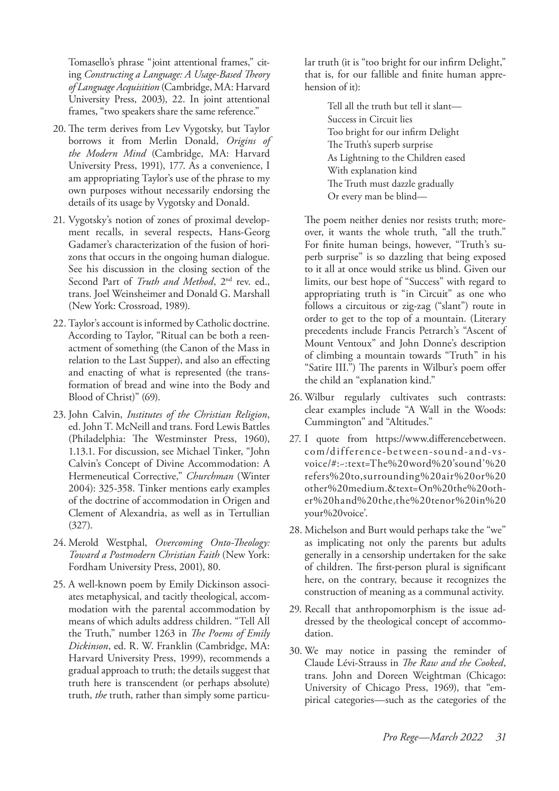Tomasello's phrase "joint attentional frames," citing *Constructing a Language: A Usage-Based Theory of Language Acquisition* (Cambridge, MA: Harvard University Press, 2003), 22. In joint attentional frames, "two speakers share the same reference."

- 20. The term derives from Lev Vygotsky, but Taylor borrows it from Merlin Donald, *Origins of the Modern Mind* (Cambridge, MA: Harvard University Press, 1991), 177. As a convenience, I am appropriating Taylor's use of the phrase to my own purposes without necessarily endorsing the details of its usage by Vygotsky and Donald.
- 21. Vygotsky's notion of zones of proximal development recalls, in several respects, Hans-Georg Gadamer's characterization of the fusion of horizons that occurs in the ongoing human dialogue. See his discussion in the closing section of the Second Part of *Truth and Method*, 2<sup>nd</sup> rev. ed., trans. Joel Weinsheimer and Donald G. Marshall (New York: Crossroad, 1989).
- 22. Taylor's account is informed by Catholic doctrine. According to Taylor, "Ritual can be both a reenactment of something (the Canon of the Mass in relation to the Last Supper), and also an effecting and enacting of what is represented (the transformation of bread and wine into the Body and Blood of Christ)" (69).
- 23. John Calvin, *Institutes of the Christian Religion*, ed. John T. McNeill and trans. Ford Lewis Battles (Philadelphia: The Westminster Press, 1960), 1.13.1. For discussion, see Michael Tinker, "John Calvin's Concept of Divine Accommodation: A Hermeneutical Corrective," *Churchman* (Winter 2004): 325-358. Tinker mentions early examples of the doctrine of accommodation in Origen and Clement of Alexandria, as well as in Tertullian (327).
- 24. Merold Westphal, *Overcoming Onto-Theology: Toward a Postmodern Christian Faith* (New York: Fordham University Press, 2001), 80.
- 25. A well-known poem by Emily Dickinson associates metaphysical, and tacitly theological, accommodation with the parental accommodation by means of which adults address children. "Tell All the Truth," number 1263 in *The Poems of Emily Dickinson*, ed. R. W. Franklin (Cambridge, MA: Harvard University Press, 1999), recommends a gradual approach to truth; the details suggest that truth here is transcendent (or perhaps absolute) truth, *the* truth, rather than simply some particu-

lar truth (it is "too bright for our infirm Delight," that is, for our fallible and finite human apprehension of it):

> Tell all the truth but tell it slant— Success in Circuit lies Too bright for our infirm Delight The Truth's superb surprise As Lightning to the Children eased With explanation kind The Truth must dazzle gradually Or every man be blind—

The poem neither denies nor resists truth; moreover, it wants the whole truth, "all the truth." For finite human beings, however, "Truth's superb surprise" is so dazzling that being exposed to it all at once would strike us blind. Given our limits, our best hope of "Success" with regard to appropriating truth is "in Circuit" as one who follows a circuitous or zig-zag ("slant") route in order to get to the top of a mountain. (Literary precedents include Francis Petrarch's "Ascent of Mount Ventoux" and John Donne's description of climbing a mountain towards "Truth" in his "Satire III.") The parents in Wilbur's poem offer the child an "explanation kind."

- 26. Wilbur regularly cultivates such contrasts: clear examples include "A Wall in the Woods: Cummington" and "Altitudes."
- 27. I quote from https://www.differencebetween. com/difference-between-sound-and-vsvoice/#:~:text=The%20word%20'sound'%20 refers%20to,surrounding%20air%20or%20 other%20medium.&text=On%20the%20other%20hand%20the,the%20tenor%20in%20 your%20voice'.
- 28. Michelson and Burt would perhaps take the "we" as implicating not only the parents but adults generally in a censorship undertaken for the sake of children. The first-person plural is significant here, on the contrary, because it recognizes the construction of meaning as a communal activity.
- 29. Recall that anthropomorphism is the issue addressed by the theological concept of accommodation.
- 30. We may notice in passing the reminder of Claude Lévi-Strauss in *The Raw and the Cooked*, trans. John and Doreen Weightman (Chicago: University of Chicago Press, 1969), that "empirical categories—such as the categories of the